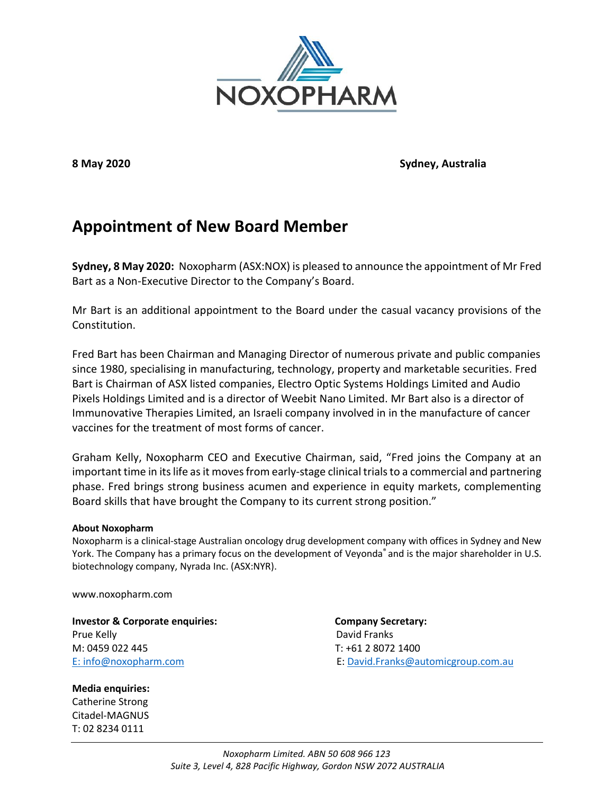

**8 May 2020 Sydney, Australia**

## **Appointment of New Board Member**

**Sydney, 8 May 2020:** Noxopharm (ASX:NOX) is pleased to announce the appointment of Mr Fred Bart as a Non-Executive Director to the Company's Board.

Mr Bart is an additional appointment to the Board under the casual vacancy provisions of the Constitution.

Fred Bart has been Chairman and Managing Director of numerous private and public companies since 1980, specialising in manufacturing, technology, property and marketable securities. Fred Bart is Chairman of ASX listed companies, Electro Optic Systems Holdings Limited and Audio Pixels Holdings Limited and is a director of Weebit Nano Limited. Mr Bart also is a director of Immunovative Therapies Limited, an Israeli company involved in in the manufacture of cancer vaccines for the treatment of most forms of cancer.

Graham Kelly, Noxopharm CEO and Executive Chairman, said, "Fred joins the Company at an important time in its life as it moves from early-stage clinical trials to a commercial and partnering phase. Fred brings strong business acumen and experience in equity markets, complementing Board skills that have brought the Company to its current strong position."

## **About Noxopharm**

Noxopharm is a clinical-stage Australian oncology drug development company with offices in Sydney and New York. The Company has a primary focus on the development of Veyonda® and is the major shareholder in U.S. biotechnology company, Nyrada Inc. (ASX:NYR).

www.noxopharm.com

**Investor & Corporate enquiries: Company Secretary: Company Secretary:** Prue Kelly **David Franks** M: 0459 022 445 T: +61 2 8072 1400

**Media enquiries:** Catherine Strong Citadel-MAGNUS T: 02 8234 0111

E: [info@noxopharm.com](mailto:info@noxopharm.com) E: [David.Franks@automicgroup.com.au](mailto:David.Franks@automicgroup.com.au)